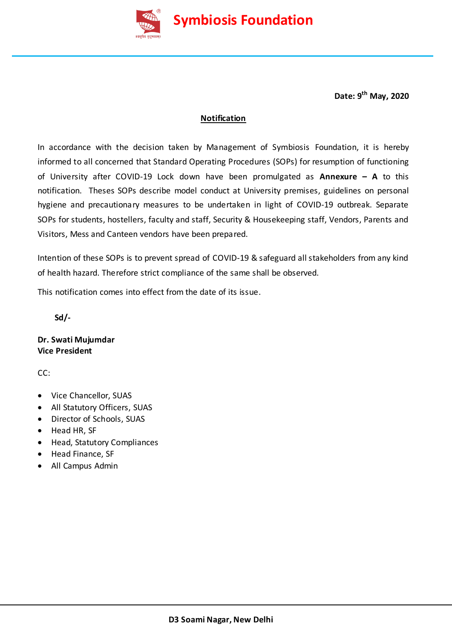

**Date: 9 th May, 2020**

## **Notification**

In accordance with the decision taken by Management of Symbiosis Foundation, it is hereby informed to all concerned that Standard Operating Procedures (SOPs) for resumption of functioning of University after COVID-19 Lock down have been promulgated as **Annexure – A** to this notification. Theses SOPs describe model conduct at University premises, guidelines on personal hygiene and precautionary measures to be undertaken in light of COVID-19 outbreak. Separate SOPs for students, hostellers, faculty and staff, Security & Housekeeping staff, Vendors, Parents and Visitors, Mess and Canteen vendors have been prepared.

Intention of these SOPs is to prevent spread of COVID-19 & safeguard all stakeholders from any kind of health hazard. Therefore strict compliance of the same shall be observed.

This notification comes into effect from the date of its issue.

 **Sd/-**

**Dr. Swati Mujumdar Vice President**

CC:

- Vice Chancellor, SUAS
- All Statutory Officers, SUAS
- Director of Schools, SUAS
- Head HR, SF
- Head, Statutory Compliances
- Head Finance, SF
- All Campus Admin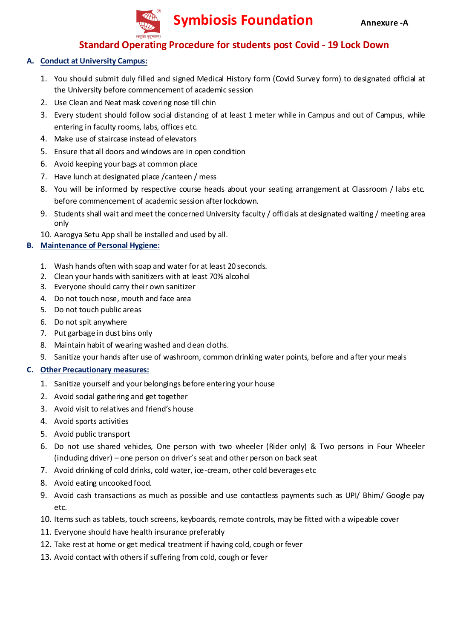

# **Standard Operating Procedure for students post Covid - 19 Lock Down**

## **A. Conduct at University Campus:**

- 1. You should submit duly filled and signed Medical History form (Covid Survey form) to designated official at the University before commencement of academic session
- 2. Use Clean and Neat mask covering nose till chin
- 3. Every student should follow social distancing of at least 1 meter while in Campus and out of Campus, while entering in faculty rooms, labs, offices etc.
- 4. Make use of staircase instead of elevators
- 5. Ensure that all doors and windows are in open condition
- 6. Avoid keeping your bags at common place
- 7. Have lunch at designated place /canteen / mess
- 8. You will be informed by respective course heads about your seating arrangement at Classroom / labs etc. before commencement of academic session after lockdown.
- 9. Students shall wait and meet the concerned University faculty / officials at designated waiting / meeting area only
- 10. Aarogya Setu App shall be installed and used by all.

## **B. Maintenance of Personal Hygiene:**

- 1. Wash hands often with soap and water for at least 20 seconds.
- 2. Clean your hands with sanitizers with at least 70% alcohol
- 3. Everyone should carry their own sanitizer
- 4. Do not touch nose, mouth and face area
- 5. Do not touch public areas
- 6. Do not spit anywhere
- 7. Put garbage in dust bins only
- 8. Maintain habit of wearing washed and dean cloths.
- 9. Sanitize your hands after use of washroom, common drinking water points, before and after your meals

- 1. Sanitize yourself and your belongings before entering your house
- 2. Avoid social gathering and get together
- 3. Avoid visit to relatives and friend's house
- 4. Avoid sports activities
- 5. Avoid public transport
- 6. Do not use shared vehicles, One person with two wheeler (Rider only) & Two persons in Four Wheeler (including driver) – one person on driver's seat and other person on back seat
- 7. Avoid drinking of cold drinks, cold water, ice-cream, other cold beverages etc
- 8. Avoid eating uncooked food.
- 9. Avoid cash transactions as much as possible and use contactless payments such as UPI/ Bhim/ Google pay etc.
- 10. Items such as tablets, touch screens, keyboards, remote controls, may be fitted with a wipeable cover
- 11. Everyone should have health insurance preferably
- 12. Take rest at home or get medical treatment if having cold, cough or fever
- 13. Avoid contact with others if suffering from cold, cough or fever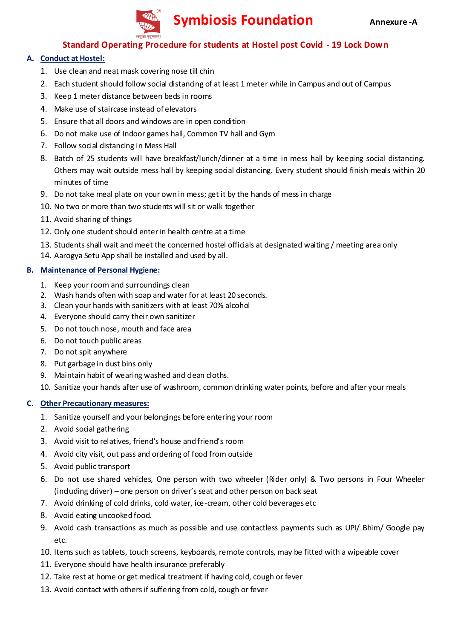

## **Standard Operating Procedure for students at Hostel post Covid - 19 Lock Down**

## **A. Conduct at Hostel:**

- 1. Use clean and neat mask covering nose till chin
- 2. Each student should follow social distancing of at least 1 meter while in Campus and out of Campus
- 3. Keep 1 meter distance between beds in rooms
- 4. Make use of staircase instead of elevators
- 5. Ensure that all doors and windows are in open condition
- 6. Do not make use of Indoor games hall, Common TV hall and Gym
- 7. Follow social distancing in Mess Hall
- 8. Batch of 25 students will have breakfast/lunch/dinner at a time in mess hall by keeping social distancing. Others may wait outside mess hall by keeping social distancing. Every student should finish meals within 20 minutes of time
- 9. Do not take meal plate on your own in mess; get it by the hands of mess in charge
- 10. No two or more than two students will sit or walk together
- 11. Avoid sharing of things
- 12. Only one student should enter in health centre at a time
- 13. Students shall wait and meet the concerned hostel officials at designated waiting / meeting area only
- 14. Aarogya Setu App shall be installed and used by all.

#### **B. Maintenance of Personal Hygiene:**

- 1. Keep your room and surroundings clean
- 2. Wash hands often with soap and water for at least 20 seconds.
- 3. Clean your hands with sanitizers with at least 70% alcohol
- 4. Everyone should carry their own sanitizer
- 5. Do not touch nose, mouth and face area
- 6. Do not touch public areas
- 7. Do not spit anywhere
- 8. Put garbage in dust bins only
- 9. Maintain habit of wearing washed and dean cloths.
- 10. Sanitize your hands after use of washroom, common drinking water points, before and after your meals

- 1. Sanitize yourself and your belongings before entering your room
- 2. Avoid social gathering
- 3. Avoid visit to relatives, friend's house and friend's room
- 4. Avoid city visit, out pass and ordering of food from outside
- 5. Avoid public transport
- 6. Do not use shared vehicles, One person with two wheeler (Rider only) & Two persons in Four Wheeler (including driver) – one person on driver's seat and other person on back seat
- 7. Avoid drinking of cold drinks, cold water, ice-cream, other cold beverages etc
- 8. Avoid eating uncooked food.
- 9. Avoid cash transactions as much as possible and use contactless payments such as UPI/ Bhim/ Google pay etc.
- 10. Items such as tablets, touch screens, keyboards, remote controls, may be fitted with a wipeable cover
- 11. Everyone should have health insurance preferably
- 12. Take rest at home or get medical treatment if having cold, cough or fever
- 13. Avoid contact with others if suffering from cold, cough or fever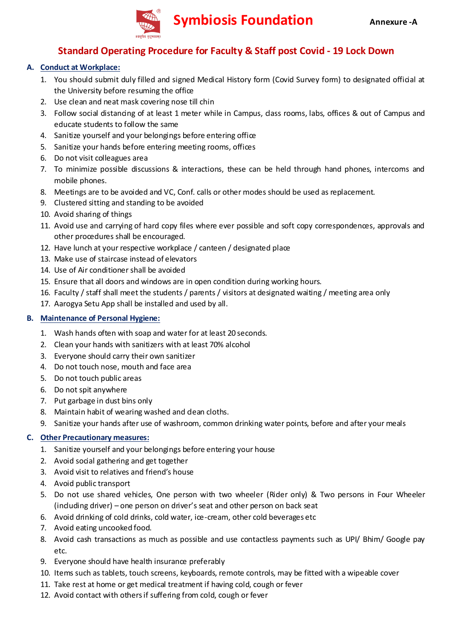

# **Standard Operating Procedure for Faculty & Staff post Covid - 19 Lock Down**

## **A. Conduct at Workplace:**

- 1. You should submit duly filled and signed Medical History form (Covid Survey form) to designated official at the University before resuming the office
- 2. Use clean and neat mask covering nose till chin
- 3. Follow social distancing of at least 1 meter while in Campus, dass rooms, labs, offices & out of Campus and educate students to follow the same
- 4. Sanitize yourself and your belongings before entering office
- 5. Sanitize your hands before entering meeting rooms, offices
- 6. Do not visit colleagues area
- 7. To minimize possible discussions & interactions, these can be held through hand phones, intercoms and mobile phones.
- 8. Meetings are to be avoided and VC, Conf. calls or other modes should be used as replacement.
- 9. Clustered sitting and standing to be avoided
- 10. Avoid sharing of things
- 11. Avoid use and carrying of hard copy files where ever possible and soft copy correspondences, approvals and other procedures shall be encouraged.
- 12. Have lunch at your respective workplace / canteen / designated place
- 13. Make use of staircase instead of elevators
- 14. Use of Air conditioner shall be avoided
- 15. Ensure that all doors and windows are in open condition during working hours.
- 16. Faculty / staff shall meet the students / parents / visitors at designated waiting / meeting area only
- 17. Aarogya Setu App shall be installed and used by all.

## **B. Maintenance of Personal Hygiene:**

- 1. Wash hands often with soap and water for at least 20 seconds.
- 2. Clean your hands with sanitizers with at least 70% alcohol
- 3. Everyone should carry their own sanitizer
- 4. Do not touch nose, mouth and face area
- 5. Do not touch public areas
- 6. Do not spit anywhere
- 7. Put garbage in dust bins only
- 8. Maintain habit of wearing washed and dean cloths.
- 9. Sanitize your hands after use of washroom, common drinking water points, before and after your meals

- 1. Sanitize yourself and your belongings before entering your house
- 2. Avoid social gathering and get together
- 3. Avoid visit to relatives and friend's house
- 4. Avoid public transport
- 5. Do not use shared vehicles, One person with two wheeler (Rider only) & Two persons in Four Wheeler (induding driver) – one person on driver's seat and other person on back seat
- 6. Avoid drinking of cold drinks, cold water, ice-cream, other cold beverages etc
- 7. Avoid eating uncooked food.
- 8. Avoid cash transactions as much as possible and use contactless payments such as UPI/ Bhim/ Google pay etc.
- 9. Everyone should have health insurance preferably
- 10. Items such as tablets, touch screens, keyboards, remote controls, may be fitted with a wipeable cover
- 11. Take rest at home or get medical treatment if having cold, cough or fever
- 12. Avoid contact with others if suffering from cold, cough or fever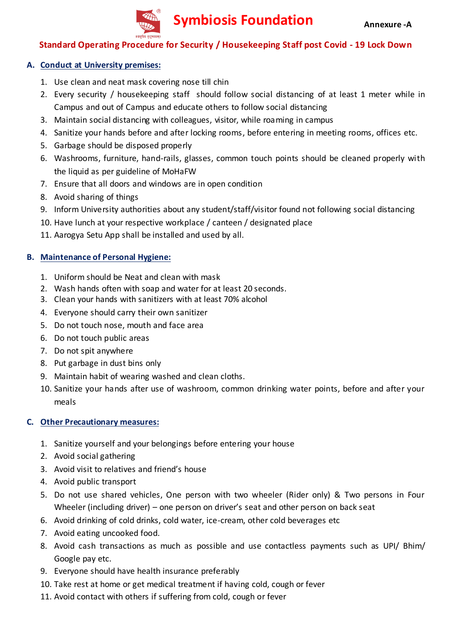

## **Standard Operating Procedure for Security / Housekeeping Staff post Covid - 19 Lock Down**

## **A. Conduct at University premises:**

- 1. Use clean and neat mask covering nose till chin
- 2. Every security / housekeeping staff should follow social distancing of at least 1 meter while in Campus and out of Campus and educate others to follow social distancing
- 3. Maintain social distancing with colleagues, visitor, while roaming in campus
- 4. Sanitize your hands before and after locking rooms, before entering in meeting rooms, offices etc.
- 5. Garbage should be disposed properly
- 6. Washrooms, furniture, hand-rails, glasses, common touch points should be cleaned properly with the liquid as per guideline of MoHaFW
- 7. Ensure that all doors and windows are in open condition
- 8. Avoid sharing of things
- 9. Inform University authorities about any student/staff/visitor found not following social distancing
- 10. Have lunch at your respective workplace / canteen / designated place
- 11. Aarogya Setu App shall be installed and used by all.

## **B. Maintenance of Personal Hygiene:**

- 1. Uniform should be Neat and clean with mask
- 2. Wash hands often with soap and water for at least 20 seconds.
- 3. Clean your hands with sanitizers with at least 70% alcohol
- 4. Everyone should carry their own sanitizer
- 5. Do not touch nose, mouth and face area
- 6. Do not touch public areas
- 7. Do not spit anywhere
- 8. Put garbage in dust bins only
- 9. Maintain habit of wearing washed and clean cloths.
- 10. Sanitize your hands after use of washroom, common drinking water points, before and after your meals

- 1. Sanitize yourself and your belongings before entering your house
- 2. Avoid social gathering
- 3. Avoid visit to relatives and friend's house
- 4. Avoid public transport
- 5. Do not use shared vehicles, One person with two wheeler (Rider only) & Two persons in Four Wheeler (including driver) – one person on driver's seat and other person on back seat
- 6. Avoid drinking of cold drinks, cold water, ice-cream, other cold beverages etc
- 7. Avoid eating uncooked food.
- 8. Avoid cash transactions as much as possible and use contactless payments such as UPI/ Bhim/ Google pay etc.
- 9. Everyone should have health insurance preferably
- 10. Take rest at home or get medical treatment if having cold, cough or fever
- 11. Avoid contact with others if suffering from cold, cough or fever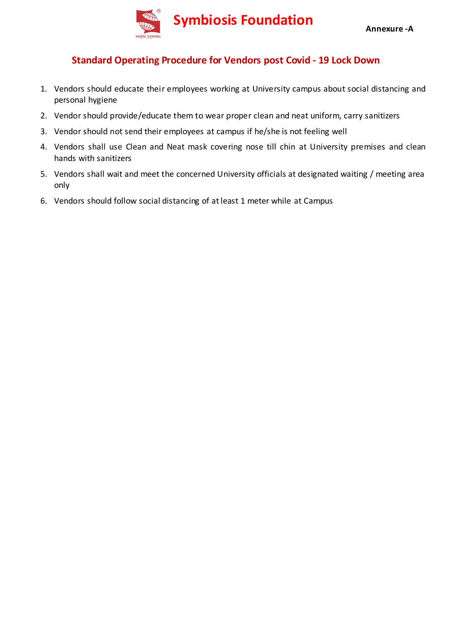

# **Standard Operating Procedure for Vendors post Covid - 19 Lock Down**

- 1. Vendors should educate their employees working at University campus about social distancing and personal hygiene
- 2. Vendor should provide/educate them to wear proper clean and neat uniform, carry sanitizers
- 3. Vendor should not send their employees at campus if he/she is not feeling well
- 4. Vendors shall use Clean and Neat mask covering nose till chin at University premises and clean hands with sanitizers
- 5. Vendors shall wait and meet the concerned University officials at designated waiting / meeting area only
- 6. Vendors should follow social distancing of at least 1 meter while at Campus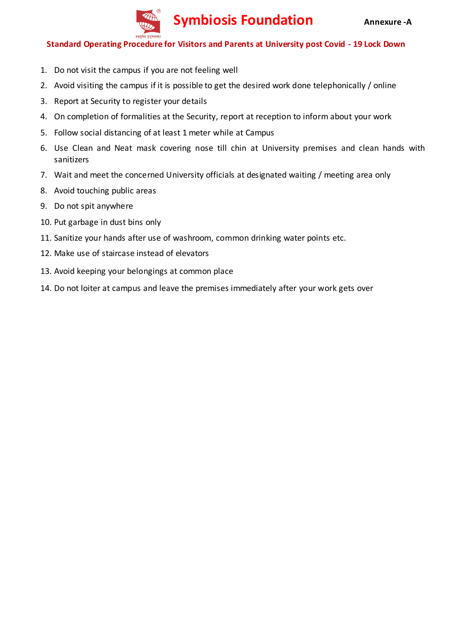

## **Standard Operating Procedure for Visitors and Parents at University post Covid - 19 Lock Down**

- 1. Do not visit the campus if you are not feeling well
- 2. Avoid visiting the campus if it is possible to get the desired work done telephonically / online
- 3. Report at Security to register your details
- 4. On completion of formalities at the Security, report at reception to inform about your work
- 5. Follow social distancing of at least 1 meter while at Campus
- 6. Use Clean and Neat mask covering nose till chin at University premises and clean hands with sanitizers
- 7. Wait and meet the concerned University officials at designated waiting / meeting area only
- 8. Avoid touching public areas
- 9. Do not spit anywhere
- 10. Put garbage in dust bins only
- 11. Sanitize your hands after use of washroom, common drinking water points etc.
- 12. Make use of staircase instead of elevators
- 13. Avoid keeping your belongings at common place
- 14. Do not loiter at campus and leave the premises immediately after your work gets over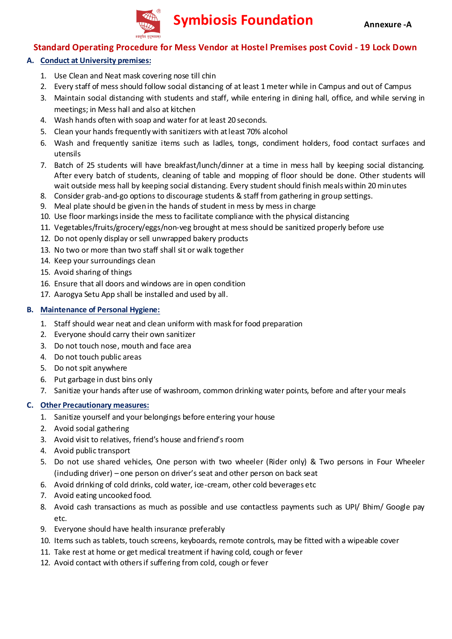

# **Standard Operating Procedure for Mess Vendor at Hostel Premises post Covid - 19 Lock Down**

## **A. Conduct at University premises:**

- 1. Use Clean and Neat mask covering nose till chin
- 2. Every staff of mess should follow social distancing of at least 1 meter while in Campus and out of Campus
- 3. Maintain social distancing with students and staff, while entering in dining hall, office, and while serving in meetings; in Mess hall and also at kitchen
- 4. Wash hands often with soap and water for at least 20 seconds.
- 5. Clean your hands frequently with sanitizers with at least 70% alcohol
- 6. Wash and frequently sanitize items such as ladles, tongs, condiment holders, food contact surfaces and utensils
- 7. Batch of 25 students will have breakfast/lunch/dinner at a time in mess hall by keeping social distancing. After every batch of students, cleaning of table and mopping of floor should be done. Other students will wait outside mess hall by keeping social distancing. Every student should finish meals within 20 minutes
- 8. Consider grab-and-go options to discourage students & staff from gathering in group settings.
- 9. Meal plate should be given in the hands of student in mess by mess in charge
- 10. Use floor markings inside the mess to facilitate compliance with the physical distancing
- 11. Vegetables/fruits/grocery/eggs/non-veg brought at mess should be sanitized properly before use
- 12. Do not openly display or sell unwrapped bakery products
- 13. No two or more than two staff shall sit or walk together
- 14. Keep your surroundings clean
- 15. Avoid sharing of things
- 16. Ensure that all doors and windows are in open condition
- 17. Aarogya Setu App shall be installed and used by all.

## **B. Maintenance of Personal Hygiene:**

- 1. Staff should wear neat and clean uniform with mask for food preparation
- 2. Everyone should carry their own sanitizer
- 3. Do not touch nose, mouth and face area
- 4. Do not touch public areas
- 5. Do not spit anywhere
- 6. Put garbage in dust bins only
- 7. Sanitize your hands after use of washroom, common drinking water points, before and after your meals

- 1. Sanitize yourself and your belongings before entering your house
- 2. Avoid social gathering
- 3. Avoid visit to relatives, friend's house and friend's room
- 4. Avoid public transport
- 5. Do not use shared vehicles, One person with two wheeler (Rider only) & Two persons in Four Wheeler (induding driver) – one person on driver's seat and other person on back seat
- 6. Avoid drinking of cold drinks, cold water, ice-cream, other cold beverages etc
- 7. Avoid eating uncooked food.
- 8. Avoid cash transactions as much as possible and use contactless payments such as UPI/ Bhim/ Google pay etc.
- 9. Everyone should have health insurance preferably
- 10. Items such as tablets, touch screens, keyboards, remote controls, may be fitted with a wipeable cover
- 11. Take rest at home or get medical treatment if having cold, cough or fever
- 12. Avoid contact with others if suffering from cold, cough or fever